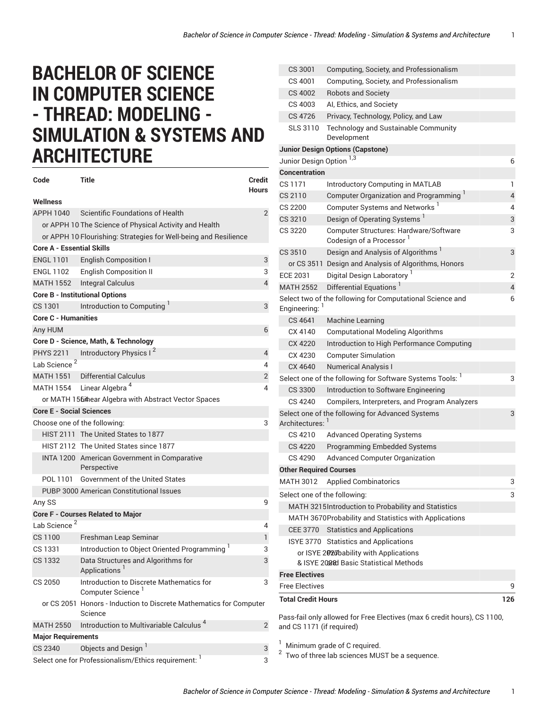## **BACHELOR OF SCIENCE IN COMPUTER SCIENCE - THREAD: MODELING - SIMULATION & SYSTEMS AND ARCHITECTURE**

| Code                                 | Title                                                                         | <b>Credit</b><br>Hours |  |
|--------------------------------------|-------------------------------------------------------------------------------|------------------------|--|
| Wellness                             |                                                                               |                        |  |
| APPH 1040                            | Scientific Foundations of Health                                              | $\overline{2}$         |  |
|                                      | or APPH 10 The Science of Physical Activity and Health                        |                        |  |
|                                      | or APPH 10 Flourishing: Strategies for Well-being and Resilience              |                        |  |
| <b>Core A - Essential Skills</b>     |                                                                               |                        |  |
| <b>ENGL 1101</b>                     | English Composition I                                                         | 3                      |  |
|                                      | ENGL 1102 English Composition II                                              | 3                      |  |
|                                      | MATH 1552 Integral Calculus                                                   | $\overline{4}$         |  |
|                                      | <b>Core B - Institutional Options</b>                                         |                        |  |
| CS 1301                              | Introduction to Computing                                                     | 3                      |  |
| <b>Core C - Humanities</b>           |                                                                               |                        |  |
| Any HUM                              |                                                                               | 6                      |  |
| Core D - Science, Math, & Technology |                                                                               |                        |  |
| PHYS 2211                            | Introductory Physics I <sup>2</sup>                                           | 4                      |  |
| Lab Science <sup>2</sup>             |                                                                               | 4                      |  |
|                                      | <b>MATH 1551</b> Differential Calculus                                        | 2                      |  |
|                                      | MATH 1554 Linear Algebra <sup>4</sup>                                         | 4                      |  |
|                                      | or MATH 1564hear Algebra with Abstract Vector Spaces                          |                        |  |
| <b>Core E - Social Sciences</b>      |                                                                               |                        |  |
|                                      | Choose one of the following:                                                  | 3                      |  |
|                                      | HIST 2111 The United States to 1877                                           |                        |  |
|                                      | HIST 2112 The United States since 1877                                        |                        |  |
|                                      | INTA 1200 American Government in Comparative<br>Perspective                   |                        |  |
| POL 1101                             | Government of the United States                                               |                        |  |
|                                      | PUBP 3000 American Constitutional Issues                                      |                        |  |
| Any SS                               |                                                                               | 9                      |  |
|                                      | <b>Core F - Courses Related to Major</b>                                      |                        |  |
| Lab Science <sup>2</sup>             |                                                                               | 4                      |  |
| CS 1100                              | Freshman Leap Seminar                                                         | 1                      |  |
| CS 1331                              | Introduction to Object Oriented Programming <sup>1</sup>                      | 3                      |  |
| CS 1332                              | Data Structures and Algorithms for<br>Applications <sup>1</sup>               | 3                      |  |
| CS 2050                              | Introduction to Discrete Mathematics for<br>Computer Science <sup>1</sup>     | 3                      |  |
|                                      | or CS 2051 Honors - Induction to Discrete Mathematics for Computer<br>Science |                        |  |
| <b>MATH 2550</b>                     | Introduction to Multivariable Calculus <sup>4</sup>                           | 2                      |  |
| <b>Major Requirements</b>            |                                                                               |                        |  |
| <b>CS 2340</b>                       | Objects and Design <sup>1</sup>                                               | 3                      |  |
|                                      | Select one for Professionalism/Ethics requirement: 1                          | 3                      |  |

| CS 3001                       | Computing, Society, and Professionalism                                        |     |
|-------------------------------|--------------------------------------------------------------------------------|-----|
| CS 4001                       | Computing, Society, and Professionalism                                        |     |
| CS 4002                       | <b>Robots and Society</b>                                                      |     |
| CS 4003                       | AI, Ethics, and Society                                                        |     |
| CS 4726                       | Privacy, Technology, Policy, and Law                                           |     |
| SLS 3110                      | Technology and Sustainable Community<br>Development                            |     |
|                               | <b>Junior Design Options (Capstone)</b>                                        |     |
| Junior Design Option 1,3      |                                                                                | 6   |
| <b>Concentration</b>          |                                                                                |     |
| CS 1171                       | Introductory Computing in MATLAB                                               | 1   |
| CS 2110                       | Computer Organization and Programming <sup>1</sup>                             | 4   |
| CS 2200                       | Computer Systems and Networks <sup>1</sup>                                     | 4   |
| CS 3210                       | Design of Operating Systems                                                    | 3   |
| CS 3220                       | Computer Structures: Hardware/Software<br>Codesign of a Processor <sup>1</sup> | 3   |
| CS 3510                       | Design and Analysis of Algorithms <sup>1</sup>                                 | 3   |
|                               | or CS 3511 Design and Analysis of Algorithms, Honors                           |     |
| <b>ECE 2031</b>               | Digital Design Laboratory <sup>1</sup>                                         | 2   |
| <b>MATH 2552</b>              | Differential Equations <sup>1</sup>                                            | 4   |
| Engineering: 1                | Select two of the following for Computational Science and                      | 6   |
| CS 4641                       | <b>Machine Learning</b>                                                        |     |
| CX 4140                       | <b>Computational Modeling Algorithms</b>                                       |     |
| CX 4220                       | Introduction to High Performance Computing                                     |     |
| CX 4230                       | <b>Computer Simulation</b>                                                     |     |
| CX 4640                       | <b>Numerical Analysis I</b>                                                    |     |
|                               | Select one of the following for Software Systems Tools: <sup>1</sup>           | 3   |
| CS 3300                       | Introduction to Software Engineering                                           |     |
| CS 4240                       | Compilers, Interpreters, and Program Analyzers                                 |     |
| Architectures: 1              | Select one of the following for Advanced Systems                               | 3   |
| CS 4210                       | <b>Advanced Operating Systems</b>                                              |     |
| CS 4220                       | <b>Programming Embedded Systems</b>                                            |     |
| CS 4290                       | <b>Advanced Computer Organization</b>                                          |     |
| <b>Other Required Courses</b> |                                                                                |     |
| <b>MATH 3012</b>              | <b>Applied Combinatorics</b>                                                   | 3   |
| Select one of the following:  |                                                                                | 3   |
|                               | MATH 3215 Introduction to Probability and Statistics                           |     |
|                               | MATH 3670Probability and Statistics with Applications                          |     |
| <b>CEE 3770</b>               | <b>Statistics and Applications</b>                                             |     |
|                               | ISYE 3770 Statistics and Applications                                          |     |
|                               | or ISYE 2020 bability with Applications                                        |     |
|                               | & ISYE 2028 Basic Statistical Methods                                          |     |
| <b>Free Electives</b>         |                                                                                |     |
| <b>Free Electives</b>         |                                                                                | 9   |
| <b>Total Credit Hours</b>     |                                                                                | 126 |
|                               | Pass-fail only allowed for Free Electives (max 6 credit hours), CS 1100,       |     |

and CS 1171 (if required)

 $^1$  Minimum grade of C required.<br><sup>2</sup> Two of three lab sciences MUST be a sequence.